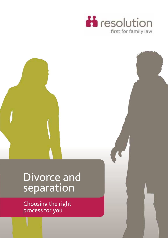



# Divorce and separation

Choosing the right process for you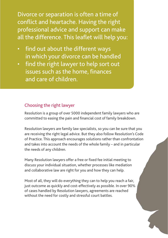Divorce or separation is often a time of conflict and heartache. Having the right professional advice and support can make all the difference. This leaflet will help you:

- find out about the different ways in which your divorce can be handled
- find the right lawyer to help sort out issues such as the home, finances and care of children.

## Choosing the right lawyer

Resolution is a group of over 5000 independent family lawyers who are committed to easing the pain and financial cost of family breakdown.

Resolution lawyers are family law specialists, so you can be sure that you are receiving the right legal advice. But they also follow Resolution's Code of Practice. This approach encourages solutions rather than confrontation and takes into account the needs of the whole family – and in particular the needs of any children.

Many Resolution lawyers offer a free or fixed fee initial meeting to discuss your individual situation, whether processes like mediation and collaborative law are right for you and how they can help.

Most of all, they will do everything they can to help you reach a fair, just outcome as quickly and cost-effectively as possible. In over 90% of cases handled by Resolution lawyers, agreements are reached without the need for costly and stressful court battles.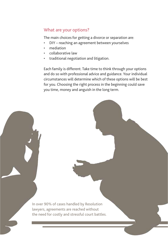#### What are your options?

The main choices for getting a divorce or separation are:

- DIY reaching an agreement between yourselves
- mediation
- collaborative law
- traditional negotiation and litigation.

Each family is different. Take time to think through your options and do so with professional advice and guidance. Your individual circumstances will determine which of these options will be best for you. Choosing the right process in the beginning could save you time, money and anguish in the long term.

In over 90% of cases handled by Resolution lawyers, agreements are reached without the need for costly and stressful court battles.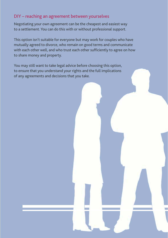#### DIY – reaching an agreement between yourselves

Negotiating your own agreement can be the cheapest and easiest way to a settlement. You can do this with or without professional support.

This option isn't suitable for everyone but may work for couples who have mutually agreed to divorce, who remain on good terms and communicate with each other well, and who trust each other sufficiently to agree on how to share money and property.

You may still want to take legal advice before choosing this option, to ensure that you understand your rights and the full implications of any agreements and decisions that you take.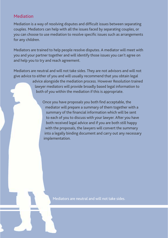## Mediation

Mediation is a way of resolving disputes and difficult issues between separating couples. Mediators can help with all the issues faced by separating couples, or you can choose to use mediation to resolve specific issues such as arrangements for any children.

Mediators are trained to help people resolve disputes. A mediator will meet with you and your partner together and will identify those issues you can't agree on and help you to try and reach agreement.

Mediators are neutral and will not take sides. They are not advisors and will not give advice to either of you and will usually recommend that you obtain legal

> advice alongside the mediation process. However Resolution trained lawyer mediators will provide broadly based legal information to both of you within the mediation if this is appropriate.

Once you have proposals you both find acceptable, the mediator will prepare a summary of them together with a summary of the financial information which will be sent to each of you to discuss with your lawyer. After you have both received legal advice and if you are both still happy with the proposals, the lawyers will convert the summary into a legally binding document and carry out any necessary implementation.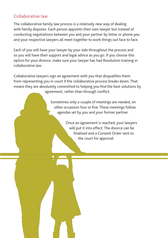# Collaborative law

The collaborative family law process is a relatively new way of dealing with family disputes. Each person appoints their own lawyer but instead of conducting negotiations between you and your partner by letter or phone you and your respective lawyers all meet together to work things out face to face.

Each of you will have your lawyer by your side throughout the process and so you will have their support and legal advice as you go. If you choose this option for your divorce, make sure your lawyer has had Resolution training in collaborative law.

Collaborative lawyers sign an agreement with you that disqualifies them from representing you in court if the collaborative process breaks down. That means they are absolutely committed to helping you find the best solutions by agreement, rather than through conflict.

> Sometimes only a couple of meetings are needed, on other occasions four or five. These meetings follow agendas set by you and your former partner.

> > Once an agreement is reached, your lawyers will put it into effect. The divorce can be finalised and a Consent Order sent to the court for approval.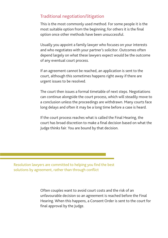#### Traditional negotiation/litigation

This is the most commonly used method. For some people it is the most suitable option from the beginning; for others it is the final option once other methods have been unsuccessful.

Usually you appoint a family lawyer who focuses on your interests and who negotiates with your partner's solicitor. Outcomes often depend largely on what these lawyers expect would be the outcome of any eventual court process.

If an agreement cannot be reached, an application is sent to the court, although this sometimes happens right away if there are urgent issues to be resolved.

The court then issues a formal timetable of next steps. Negotiations can continue alongside the court process, which will steadily move to a conclusion unless the proceedings are withdrawn. Many courts face long delays and often it may be a long time before a case is heard.

If the court process reaches what is called the Final Hearing, the court has broad discretion to make a final decision based on what the Judge thinks fair. You are bound by that decision.

Resolution lawyers are committed to helping you find the best solutions by agreement, rather than through conflict

> Often couples want to avoid court costs and the risk of an unfavourable decision so an agreement is reached before the Final Hearing. When this happens, a Consent Order is sent to the court for final approval by the Judge.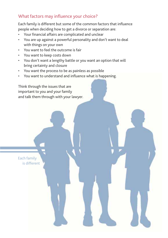# What factors may influence your choice?

Each family is different but some of the common factors that influence people when deciding how to get a divorce or separation are:

- Your financial affairs are complicated and unclear
- You are up against a powerful personality and don't want to deal with things on your own
- You want to feel the outcome is fair
- You want to keep costs down
- You don't want a lengthy battle or you want an option that will bring certainty and closure
- You want the process to be as painless as possible
- You want to understand and influence what is happening.

Think through the issues that are important to you and your family and talk them through with your lawyer.

Each family is different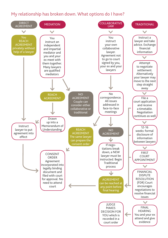# My relationship has broken down. What options do I have?